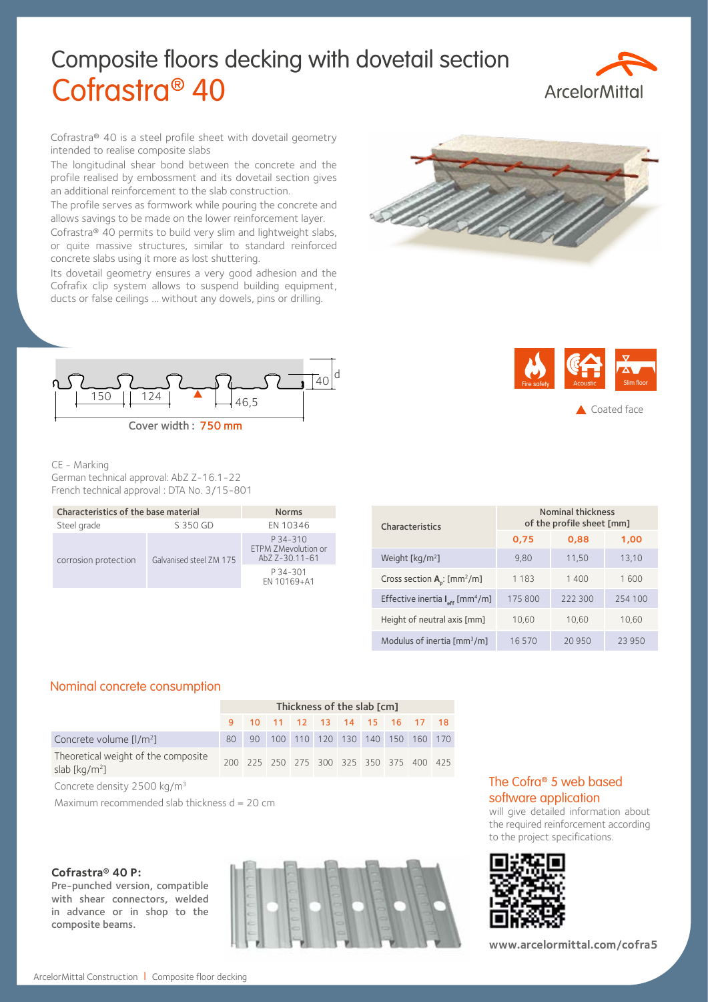# Composite floors decking with dovetail section Cofrastra® 40



Cofrastra® 40 is a steel profile sheet with dovetail geometry intended to realise composite slabs

The longitudinal shear bond between the concrete and the profile realised by embossment and its dovetail section gives an additional reinforcement to the slab construction.

The profile serves as formwork while pouring the concrete and allows savings to be made on the lower reinforcement layer.

Cofrastra® 40 permits to build very slim and lightweight slabs, or quite massive structures, similar to standard reinforced concrete slabs using it more as lost shuttering.

Its dovetail geometry ensures a very good adhesion and the Cofrafix clip system allows to suspend building equipment, ducts or false ceilings … without any dowels, pins or drilling.





## CE - Marking

German technical approval: AbZ Z-16.1-22 French technical approval : DTA No. 3/15-801

| Characteristics of the base material | <b>Norms</b>            |                                                   |
|--------------------------------------|-------------------------|---------------------------------------------------|
| Steel grade                          | EN 10346                |                                                   |
| corrosion protection                 | Galvanised steel ZM 175 | P 34-310<br>ETPM ZMevolution or<br>AbZ Z-30.11-61 |
|                                      |                         | P 34-301<br>EN 10169+A1                           |

| <b>Fire safety</b> | <b>Acoustic</b> | Slim floor  |
|--------------------|-----------------|-------------|
|                    |                 | Coated face |

| <b>Characteristics</b>                                  | Nominal thickness<br>of the profile sheet [mm] |         |         |  |  |  |  |  |
|---------------------------------------------------------|------------------------------------------------|---------|---------|--|--|--|--|--|
|                                                         | 0,75                                           | 0,88    | 1,00    |  |  |  |  |  |
| Weight [kg/m <sup>2</sup> ]                             | 9.80                                           | 11,50   | 13,10   |  |  |  |  |  |
| Cross section $A_p$ : [mm <sup>2</sup> /m]              | 1 1 8 3                                        | 1400    | 1600    |  |  |  |  |  |
| Effective inertia $I_{\text{eff}}$ [mm <sup>4</sup> /m] | 175 800                                        | 222 300 | 254 100 |  |  |  |  |  |
| Height of neutral axis [mm]                             | 10.60                                          | 10.60   | 10,60   |  |  |  |  |  |
| Modulus of inertia $\lceil mm^3/m \rceil$               | 16570                                          | 20950   | 23 950  |  |  |  |  |  |

## Nominal concrete consumption

|                                                                                 | Thickness of the slab [cm] |  |  |  |  |  |                                         |  |  |  |
|---------------------------------------------------------------------------------|----------------------------|--|--|--|--|--|-----------------------------------------|--|--|--|
|                                                                                 |                            |  |  |  |  |  | 9 10 11 12 13 14 15 16 17 18            |  |  |  |
| Concrete volume $[1/m^2]$                                                       | 80                         |  |  |  |  |  | 90 100 110 120 130 140 150 160 170      |  |  |  |
| Theoretical weight of the composite<br>slab $\left[\text{kg}/\text{m}^2\right]$ |                            |  |  |  |  |  | 200 225 250 275 300 325 350 375 400 425 |  |  |  |

Concrete density 2500 kg/m3

Maximum recommended slab thickness  $d = 20$  cm

#### **Cofrastra® 40 P:**

Pre-punched version, compatible with shear connectors, welded in advance or in shop to the composite beams.



# The Cofra® 5 web based software application

will give detailed information about the required reinforcement according to the project specifications.



**www.arcelormittal.com/cofra5**